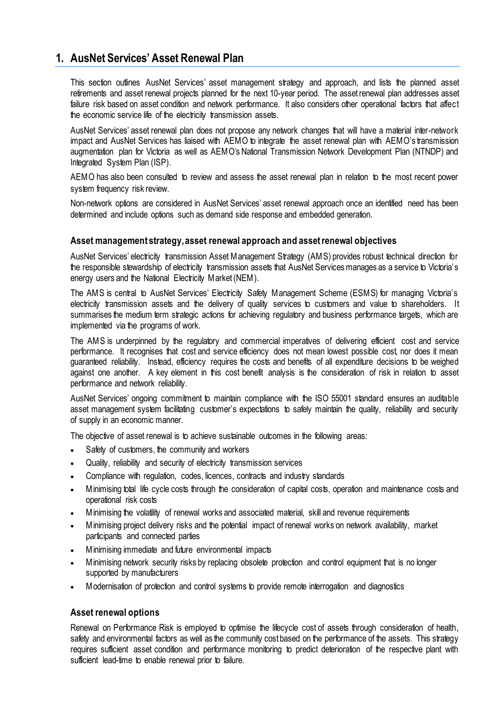# **1. AusNet Services' Asset Renewal Plan**

This section outlines AusNet Services' asset management strategy and approach, and lists the planned asset retirements and asset renewal projects planned for the next 10-year period. The asset renewal plan addresses asset failure risk based on asset condition and network performance. It also considers other operational factors that affect the economic service life of the electricity transmission assets.

AusNet Services' asset renewal plan does not propose any network changes that will have a material inter-network impact and AusNet Services has liaised with AEMO to integrate the asset renewal plan with AEMO's transmission augmentation plan for Victoria as well as AEMO's National Transmission Network Development Plan (NTNDP) and Integrated System Plan (ISP).

AEMO has also been consulted to review and assess the asset renewal plan in relation to the most recent power system frequency risk review.

Non-network options are considered in AusNet Services' asset renewal approach once an identified need has been determined and include options such as demand side response and embedded generation.

## **Asset management strategy, asset renewal approach and asset renewal objectives**

AusNet Services' electricity transmission Asset Management Strategy (AMS) provides robust technical direction for the responsible stewardship of electricity transmission assets that AusNet Services manages as a service to Victoria's energy users and the National Electricity Market (NEM).

The AMS is central to AusNet Services' Electricity Safety Management Scheme (ESMS) for managing Victoria's electricity transmission assets and the delivery of quality services to customers and value to shareholders. It summarises the medium term strategic actions for achieving regulatory and business performance targets, which are implemented via the programs of work.

The AMS is underpinned by the regulatory and commercial imperatives of delivering efficient cost and service performance. It recognises that cost and service efficiency does not mean lowest possible cost, nor does it mean guaranteed reliability. Instead, efficiency requires the costs and benefits of all expenditure decisions to be weighed against one another. A key element in this cost benefit analysis is the consideration of risk in relation to asset performance and network reliability.

AusNet Services' ongoing commitment to maintain compliance with the ISO 55001 standard ensures an auditable asset management system facilitating customer's expectations to safely maintain the quality, reliability and security of supply in an economic manner.

The objective of asset renewal is to achieve sustainable outcomes in the following areas:

- Safety of customers, the community and workers
- Quality, reliability and security of electricity transmission services
- Compliance with regulation, codes, licences, contracts and industry standards
- Minimising total life cycle costs through the consideration of capital costs, operation and maintenance costs and operational risk costs
- Minimising the volatility of renewal works and associated material, skill and revenue requirements
- Minimising project delivery risks and the potential impact of renewal works on network availability, market participants and connected parties
- Minimising immediate and future environmental impacts
- Minimising network security risks by replacing obsolete protection and control equipment that is no longer supported by manufacturers
- Modernisation of protection and control systems to provide remote interrogation and diagnostics

# **Asset renewal options**

Renewal on Performance Risk is employed to optimise the lifecycle cost of assets through consideration of health, safety and environmental factors as well as the community cost based on the performance of the assets. This strategy requires sufficient asset condition and performance monitoring to predict deterioration of the respective plant with sufficient lead-time to enable renewal prior to failure.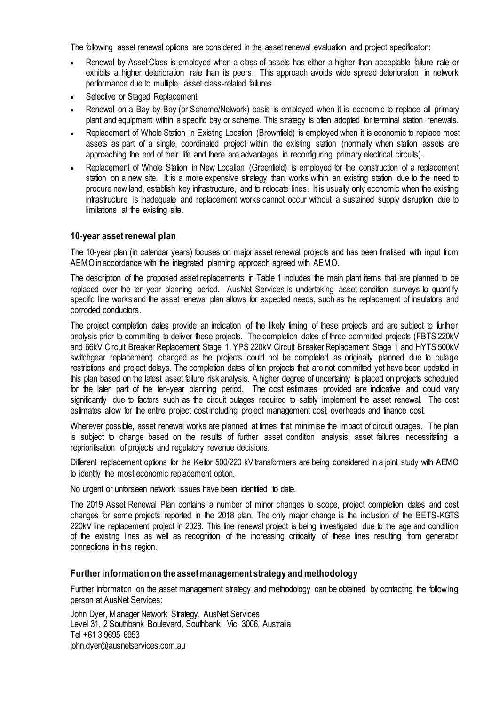The following asset renewal options are considered in the asset renewal evaluation and project specification:

- Renewal by Asset Class is employed when a class of assets has either a higher than acceptable failure rate or exhibits a higher deterioration rate than its peers. This approach avoids wide spread deterioration in network performance due to multiple, asset class-related failures.
- Selective or Staged Replacement
- Renewal on a Bay-by-Bay (or Scheme/Network) basis is employed when it is economic to replace all primary plant and equipment within a specific bay or scheme. This strategy is often adopted for terminal station renewals.
- Replacement of Whole Station in Existing Location (Brownfield) is employed when it is economic to replace most assets as part of a single, coordinated project within the existing station (normally when station assets are approaching the end of their life and there are advantages in reconfiguring primary electrical circuits).
- Replacement of Whole Station in New Location (Greenfield) is employed for the construction of a replacement station on a new site. It is a more expensive strategy than works within an existing station due to the need to procure new land, establish key infrastructure, and to relocate lines. It is usually only economic when the existing infrastructure is inadequate and replacement works cannot occur without a sustained supply disruption due to limitations at the existing site.

## **10-year asset renewal plan**

The 10-year plan (in calendar years) focuses on major asset renewal projects and has been finalised with input from AEMO in accordance with the integrated planning approach agreed with AEMO.

The description of the proposed asset replacements in Table 1 includes the main plant items that are planned to be replaced over the ten-year planning period. AusNet Services is undertaking asset condition surveys to quantify specific line works and the asset renewal plan allows for expected needs, such as the replacement of insulators and corroded conductors.

The project completion dates provide an indication of the likely timing of these projects and are subject to further analysis prior to committing to deliver these projects. The completion dates of three committed projects (FBTS 220kV and 66kV Circuit Breaker Replacement Stage 1, YPS 220kV Circuit Breaker Replacement Stage 1 and HYTS 500kV switchgear replacement) changed as the projects could not be completed as originally planned due to outage restrictions and project delays. The completion dates of ten projects that are not committed yet have been updated in this plan based on the latest asset failure risk analysis. A higher degree of uncertainty is placed on projects scheduled for the later part of the ten-year planning period. The cost estimates provided are indicative and could vary significantly due to factors such as the circuit outages required to safely implement the asset renewal. The cost estimates allow for the entire project cost including project management cost, overheads and finance cost.

Wherever possible, asset renewal works are planned at times that minimise the impact of circuit outages. The plan is subject to change based on the results of further asset condition analysis, asset failures necessitating a reprioritisation of projects and regulatory revenue decisions.

Different replacement options for the Keilor 500/220 kV transformers are being considered in a joint study with AEMO to identify the most economic replacement option.

No urgent or unforseen network issues have been identified to date.

The 2019 Asset Renewal Plan contains a number of minor changes to scope, project completion dates and cost changes for some projects reported in the 2018 plan. The only major change is the inclusion of the BETS-KGTS 220kV line replacement project in 2028. This line renewal project is being investigated due to the age and condition of the existing lines as well as recognition of the increasing criticality of these lines resulting from generator connections in this region.

#### **Further information on the asset management strategy and methodology**

Further information on the asset management strategy and methodology can be obtained by contacting the following person at AusNet Services:

John Dyer, Manager Network Strategy, AusNet Services Level 31, 2 Southbank Boulevard, Southbank, Vic, 3006, Australia Tel +61 3 9695 6953 [john.dyer@ausnetservices.com.au](mailto:john.dyer@ausnetservices.com.au)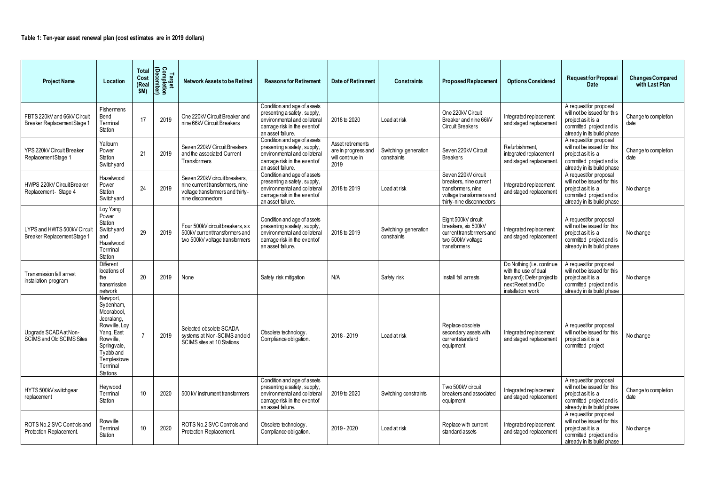| <b>Project Name</b>                                        | Location                                                                                                                                                         | <b>Total</b><br>Cost<br>(Real<br>\$M) | Target<br>Completion<br>(December) | <b>Network Assets to be Retired</b>                                                                                        | <b>Reasons for Retirement</b>                                                                                                                   | Date of Retirement                                                   | <b>Constraints</b>                   | <b>Proposed Replacement</b>                                                                                                  | <b>Options Considered</b>                                                                                                | <b>Requestfor Proposal</b><br><b>Date</b>                                                                                             | <b>Changes Compared</b><br>with Last Plan |
|------------------------------------------------------------|------------------------------------------------------------------------------------------------------------------------------------------------------------------|---------------------------------------|------------------------------------|----------------------------------------------------------------------------------------------------------------------------|-------------------------------------------------------------------------------------------------------------------------------------------------|----------------------------------------------------------------------|--------------------------------------|------------------------------------------------------------------------------------------------------------------------------|--------------------------------------------------------------------------------------------------------------------------|---------------------------------------------------------------------------------------------------------------------------------------|-------------------------------------------|
| FBTS 220kV and 66kV Circuit<br>Breaker Replacement Stage 1 | Fishermens<br>Bend<br>Terminal<br>Station                                                                                                                        | 17                                    | 2019                               | One 220kV Circuit Breaker and<br>nine 66kV Circuit Breakers                                                                | Condition and age of assets<br>presenting a safety, supply,<br>environmental and collateral<br>damage risk in the event of<br>an asset failure. | 2018 to 2020                                                         | Load at risk                         | One 220kV Circuit<br>Breaker and nine 66kV<br><b>Circuit Breakers</b>                                                        | Integrated replacement<br>and staged replacement                                                                         | A request for proposal<br>will not be issued for this<br>project as it is a<br>committed project and is<br>already in its build phase | Change to completion<br>date              |
| YPS 220kV Circuit Breaker<br>Replacement Stage 1           | Yallourn<br>Power<br>Station<br>Switchyard                                                                                                                       | 21                                    | 2019                               | Seven 220kV Circuit Breakers<br>and the associated Current<br>Transformers                                                 | Condition and age of assets<br>presenting a safety, supply,<br>environmental and collateral<br>damage risk in the event of<br>an asset failure. | Asset retirements<br>are in progress and<br>will continue in<br>2019 | Switching/ generation<br>constraints | Seven 220kV Circuit<br><b>Breakers</b>                                                                                       | Refurbishment,<br>integrated replacement<br>and staged replacement.                                                      | A request for proposal<br>will not be issued for this<br>project as it is a<br>committed project and is<br>already in its build phase | Change to completion<br>date              |
| HWPS 220kV Circuit Breaker<br>Replacement- Stage 4         | Hazelwood<br>Power<br>Station<br>Switchyard                                                                                                                      | 24                                    | 2019                               | Seven 220kV circuit breakers.<br>nine current transformers, nine<br>voltage transformers and thirty-<br>nine disconnectors | Condition and age of assets<br>presenting a safety, supply,<br>environmental and collateral<br>damage risk in the eventof<br>an asset failure.  | 2018 to 2019                                                         | Load at risk                         | Seven 220kV circuit<br>breakers, nine current<br>transformers, nine<br>voltage transformers and<br>thirty-nine disconnectors | Integrated replacement<br>and staged replacement                                                                         | A requestfor proposal<br>will not be issued for this<br>project as it is a<br>committed project and is<br>already in its build phase  | No change                                 |
| LYPS and HWTS 500kV Circuit<br>Breaker Replacement Stage 1 | Loy Yang<br>Power<br>Station<br>Switchyard<br>and<br>Hazelwood<br>Terminal<br>Station                                                                            | 29                                    | 2019                               | Four 500kV circuitbreakers, six<br>500kV currenttransformers and<br>two 500kV voltage transformers                         | Condition and age of assets<br>presenting a safety, supply,<br>environmental and collateral<br>damage risk in the eventof<br>an asset failure.  | 2018 to 2019                                                         | Switching/ generation<br>constraints | Eight 500kV circuit<br>breakers, six 500kV<br>current transformers and<br>two 500kV voltage<br>transformers                  | Integrated replacement<br>and staged replacement                                                                         | A request for proposal<br>will not be issued for this<br>project as it is a<br>committed project and is<br>already in its build phase | No change                                 |
| <b>Transmission fall arrest</b><br>installation program    | <b>Different</b><br>locations of<br>the<br>transmission<br>network                                                                                               | 20                                    | 2019                               | None                                                                                                                       | Safety risk mitigation                                                                                                                          | N/A                                                                  | Safety risk                          | Install fall arrests                                                                                                         | Do Nothing (i.e. continue<br>with the use of dual<br>lanyard); Defer project to<br>nextReset and Do<br>installation work | A request for proposal<br>will not be issued for this<br>project as it is a<br>committed project and is<br>already in its build phase | No change                                 |
| Upgrade SCADAatNon-<br>SCIMS and Old SCIMS Sites           | Newport,<br>Sydenham,<br>Moorabool,<br>Jeeralang,<br>Rowville, Loy<br>Yang, East<br>Rowville,<br>Springvale,<br>Tyabb and<br>Templestowe<br>Terminal<br>Stations |                                       | 2019                               | Selected obsolete SCADA<br>systems at Non-SCIMS and old<br>SCIMS sites at 10 Stations                                      | Obsolete technology.<br>Compliance obligation.                                                                                                  | 2018 - 2019                                                          | Load at risk                         | Replace obsolete<br>secondary assets with<br>currentstandard<br>equipment                                                    | Integrated replacement<br>and staged replacement                                                                         | A requestfor proposal<br>will not be issued for this<br>project as it is a<br>committed project                                       | No change                                 |
| HYTS 500kV switchgear<br>replacement                       | Heywood<br>Terminal<br>Station                                                                                                                                   | 10 <sup>°</sup>                       | 2020                               | 500 kV instrument transformers                                                                                             | Condition and age of assets<br>presenting a safety, supply,<br>environmental and collateral<br>damage risk in the event of<br>an asset failure. | 2019 to 2020                                                         | Switching constraints                | Two 500kV circuit<br>breakers and associated<br>equipment                                                                    | Integrated replacement<br>and staged replacement                                                                         | A requestfor proposal<br>will not be issued for this<br>project as it is a<br>committed project and is<br>already in its build phase  | Change to completion<br>date              |
| ROTS No.2 SVC Controls and<br>Protection Replacement.      | Rowville<br>Terminal<br>Station                                                                                                                                  | 10                                    | 2020                               | ROTS No.2 SVC Controls and<br>Protection Replacement.                                                                      | Obsolete technology.<br>Compliance obligation.                                                                                                  | 2019 - 2020                                                          | Load at risk                         | Replace with current<br>standard assets                                                                                      | Integrated replacement<br>and staged replacement                                                                         | A requestfor proposal<br>will not be issued for this<br>project as it is a<br>committed project and is<br>already in its build phase  | No change                                 |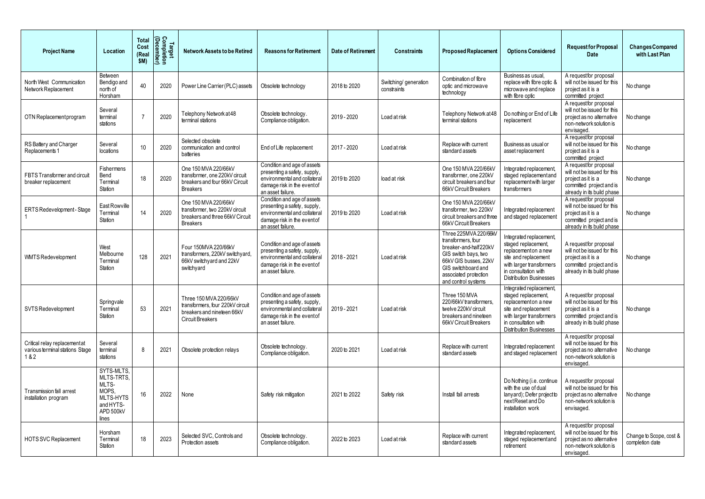| <b>Project Name</b>                                                    | Location                                                                                   | <b>Total</b><br>Cost<br>(Rea<br>\$M) | Target<br>Completion<br>(December) | <b>Network Assets to be Retired</b>                                                                                 | <b>Reasons for Retirement</b>                                                                                                                   | Date of Retirement | <b>Constraints</b>                   | <b>Proposed Replacement</b>                                                                                                                                                                  | <b>Options Considered</b>                                                                                                                                                           | <b>Request for Proposal</b><br>Date                                                                                                  | <b>Changes Compared</b><br>with Last Plan  |
|------------------------------------------------------------------------|--------------------------------------------------------------------------------------------|--------------------------------------|------------------------------------|---------------------------------------------------------------------------------------------------------------------|-------------------------------------------------------------------------------------------------------------------------------------------------|--------------------|--------------------------------------|----------------------------------------------------------------------------------------------------------------------------------------------------------------------------------------------|-------------------------------------------------------------------------------------------------------------------------------------------------------------------------------------|--------------------------------------------------------------------------------------------------------------------------------------|--------------------------------------------|
| North West Communication<br>Network Replacement                        | Between<br>Bendigo and<br>north of<br>Horsham                                              | 40                                   | 2020                               | Power Line Carrier (PLC) assets                                                                                     | Obsolete technology                                                                                                                             | 2018 to 2020       | Switching/ generation<br>constraints | Combination of fibre<br>optic and microwave<br>technology                                                                                                                                    | Business as usual,<br>replace with fibre optic &<br>microwave and replace<br>with fibre optic                                                                                       | A requestfor proposal<br>will not be issued for this<br>project as it is a<br>committed project                                      | No change                                  |
| OTN Replacement program                                                | Several<br>terminal<br>stations                                                            |                                      | 2020                               | Telephony Network at 48<br>terminal stations                                                                        | Obsolete technology.<br>Compliance obligation.                                                                                                  | 2019 - 2020        | Load at risk                         | Telephony Network at 48<br>terminal stations                                                                                                                                                 | Do nothing or End of Life<br>replacement                                                                                                                                            | A requestfor proposal<br>will not be issued for this<br>project as no alternative<br>non-network solution is<br>envisaged.           | No change                                  |
| RS Battery and Charger<br>Replacements 1                               | Several<br>locations                                                                       |                                      | 2020                               | Selected obsolete<br>communication and control<br>batteries                                                         | End of Life replacement                                                                                                                         | 2017 - 2020        | Load at risk                         | Replace with current<br>standard assets                                                                                                                                                      | Business as usual or<br>asset replacement                                                                                                                                           | A requestfor proposal<br>will not be issued for this<br>project as it is a<br>committed project                                      | No change                                  |
| FBTS Transformer and circuit<br>breaker replacement                    | Fishermens<br>Bend<br>Terminal<br>Station                                                  | 18                                   | 2020                               | One 150 MVA 220/66kV<br>transformer, one 220kV circuit<br>breakers and four 66kV Circuit<br><b>Breakers</b>         | Condition and age of assets<br>presenting a safety, supply,<br>environmental and collateral<br>damage risk in the event of<br>an asset failure. | 2019 to 2020       | load at risk                         | One 150 MVA 220/66kV<br>transformer, one 220kV<br>circuit breakers and four<br>66kV Circuit Breakers                                                                                         | Integrated replacement,<br>staged replacement and<br>replacement with larger<br>transformers                                                                                        | A requestfor proposal<br>will not be issued for this<br>project as it is a<br>committed project and is<br>already in its build phase | No change                                  |
| <b>ERTS Redevelopment-Stage</b>                                        | East Rowville<br>Terminal<br>Station                                                       | 14                                   | 2020                               | One 150 MVA 220/66kV<br>transformer, two 220kV circuit<br>breakers and three 66kV Circuit<br><b>Breakers</b>        | Condition and age of assets<br>presenting a safety, supply,<br>environmental and collateral<br>damage risk in the event of<br>an asset failure. | 2019 to 2020       | Load at risk                         | One 150 MVA 220/66kV<br>transformer, two 220kV<br>circuit breakers and three<br>66kV Circuit Breakers                                                                                        | Integrated replacement<br>and staged replacement                                                                                                                                    | A requestfor proposal<br>will not be issued for this<br>project as it is a<br>committed project and is<br>already in its build phase | No change                                  |
| <b>WMTS Redevelopment</b>                                              | West<br>Melbourne<br>Terminal<br>Station                                                   | 128                                  | 2021                               | Four 150MVA 220/66kV<br>transformers, 220kV switchyard,<br>66kV switchy ard and 22kV<br>switchyard                  | Condition and age of assets<br>presenting a safety, supply,<br>environmental and collateral<br>damage risk in the event of<br>an asset failure. | 2018 - 2021        | Load at risk                         | Three 225MVA 220/66kV<br>transformers, four<br>breaker-and-half220kV<br>GIS switch bays, two<br>66kV GIS busses, 22kV<br>GIS switchboard and<br>associated protection<br>and control systems | Integrated replacement,<br>staged replacement,<br>replacementon a new<br>site and replacement<br>with larger transformers<br>in consultation with<br><b>Distribution Businesses</b> | A requestfor proposal<br>will not be issued for this<br>project as it is a<br>committed project and is<br>already in its build phase | No change                                  |
| SVTS Redevelopment                                                     | Springvale<br>Terminal<br>Station                                                          | 53                                   | 2021                               | Three 150 MVA 220/66kV<br>transformers, four 220kV circuit<br>breakers and nineteen 66kV<br><b>Circuit Breakers</b> | Condition and age of assets<br>presenting a safety, supply,<br>environmental and collateral<br>damage risk in the event of<br>an asset failure. | 2019 - 2021        | Load at risk                         | Three 150 MVA<br>220/66kV transformers,<br>twelve 220kV circuit<br>breakers and nineteen<br>66kV Circuit Breakers                                                                            | Integrated replacement,<br>staged replacement,<br>replacementon a new<br>site and replacement<br>with larger transformers<br>in consultation with<br><b>Distribution Businesses</b> | A requestfor proposal<br>will not be issued for this<br>project as it is a<br>committed project and is<br>already in its build phase | No change                                  |
| Critical relay replacementat<br>various terminal stations Stage<br>182 | Several<br>terminal<br>stations                                                            | -8                                   | 2021                               | Obsolete protection relays                                                                                          | Obsolete technology.<br>Compliance obligation.                                                                                                  | 2020 to 2021       | Load at risk                         | Replace with current<br>standard assets                                                                                                                                                      | Integrated replacement<br>and staged replacement                                                                                                                                    | A requestfor proposal<br>will not be issued for this<br>project as no alternative<br>non-network solution is<br>envisaged.           | No change                                  |
| Transmission fall arrest<br>installation program                       | SYTS-MLTS,<br>MLTS-TRTS,<br>MLTS-<br>MOPS,<br>MLTS-HYTS<br>and HYTS-<br>APD 500kV<br>lines | 16                                   | 2022                               | None                                                                                                                | Safety risk mitigation                                                                                                                          | 2021 to 2022       | Safety risk                          | Install fall arrests                                                                                                                                                                         | Do Nothing (i.e. continue<br>with the use of dual<br>lanyard); Defer project to<br>nextReset and Do<br>installation work                                                            | A requestfor proposal<br>will not be issued for this<br>project as no alternative<br>non-network solution is<br>envisaged.           | No change                                  |
| <b>HOTS SVC Replacement</b>                                            | Horsham<br>Terminal<br>Station                                                             | 18                                   | 2023                               | Selected SVC, Controls and<br>Protection assets                                                                     | Obsolete technology.<br>Compliance obligation.                                                                                                  | 2022 to 2023       | Load at risk                         | Replace with current<br>standard assets                                                                                                                                                      | Integrated replacement,<br>staged replacement and<br>retirement                                                                                                                     | A requestfor proposal<br>will not be issued for this<br>project as no alternative<br>non-network solution is<br>envisaged.           | Change to Scope, cost &<br>completion date |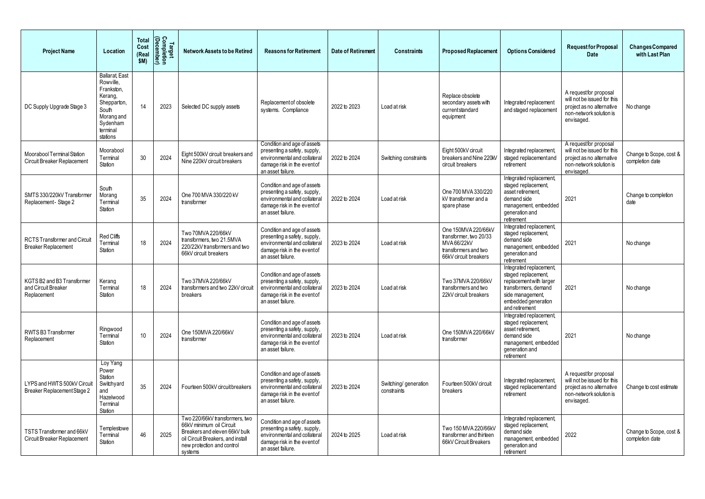| <b>Project Name</b>                                               | Location                                                                                                                              | <b>Total</b><br>Cost<br>(Rea<br>\$M) | Target<br>Completion<br><u>(December</u> <sup>)</sup> | <b>Network Assets to be Retired</b>                                                                                                                                       | <b>Reasons for Retirement</b>                                                                                                                   | <b>Date of Retirement</b> | <b>Constraints</b>                   | <b>Proposed Replacement</b>                                                                                   | <b>Options Considered</b>                                                                                                                                      | <b>Requestfor Proposal</b><br>Date                                                                                          | <b>Changes Compared</b><br>with Last Plan  |
|-------------------------------------------------------------------|---------------------------------------------------------------------------------------------------------------------------------------|--------------------------------------|-------------------------------------------------------|---------------------------------------------------------------------------------------------------------------------------------------------------------------------------|-------------------------------------------------------------------------------------------------------------------------------------------------|---------------------------|--------------------------------------|---------------------------------------------------------------------------------------------------------------|----------------------------------------------------------------------------------------------------------------------------------------------------------------|-----------------------------------------------------------------------------------------------------------------------------|--------------------------------------------|
| DC Supply Upgrade Stage 3                                         | <b>Ballarat, East</b><br>Rowville,<br>Frankston,<br>Kerang,<br>Shepparton,<br>South<br>Morang and<br>Sydenham<br>terminal<br>stations | 14                                   | 2023                                                  | Selected DC supply assets                                                                                                                                                 | Replacement of obsolete<br>systems. Compliance                                                                                                  | 2022 to 2023              | Load at risk                         | Replace obsolete<br>secondary assets with<br>currentstandard<br>equipment                                     | Integrated replacement<br>and staged replacement                                                                                                               | A requestfor proposal<br>will not be issued for this<br>project as no alternative<br>non-network solution is<br>envisaged.  | No change                                  |
| Moorabool Terminal Station<br>Circuit Breaker Replacement         | Moorabool<br>Terminal<br>Station                                                                                                      | 30                                   | 2024                                                  | Eight 500kV circuit breakers and<br>Nine 220kV circuit breakers                                                                                                           | Condition and age of assets<br>presenting a safety, supply,<br>environmental and collateral<br>damage risk in the event of<br>an asset failure. | 2022 to 2024              | Switching constraints                | Eight 500kV circuit<br>breakers and Nine 220kV<br>circuit breakers                                            | Integrated replacement<br>staged replacement and<br>retirement                                                                                                 | A request for proposal<br>will not be issued for this<br>project as no alternative<br>non-network solution is<br>envisaged. | Change to Scope, cost &<br>completion date |
| SMTS 330/220kV Transformer<br>Replacement - Stage 2               | South<br>Morang<br>Terminal<br>Station                                                                                                | 35                                   | 2024                                                  | One 700 MVA 330/220 kV<br>transformer                                                                                                                                     | Condition and age of assets<br>presenting a safety, supply,<br>environmental and collateral<br>damage risk in the event of<br>an asset failure. | 2022 to 2024              | Load at risk                         | One 700 MVA 330/220<br>kV transformer and a<br>spare phase                                                    | Integrated replacement,<br>staged replacement,<br>asset retirement,<br>demand side<br>management, embedded<br>generation and<br>retirement                     | 2021                                                                                                                        | Change to completion<br>date               |
| <b>RCTS Transformer and Circuit</b><br><b>Breaker Replacement</b> | Red Cliffs<br>Terminal<br>Station                                                                                                     | 18                                   | 2024                                                  | Two 70MVA 220/66kV<br>transformers, two 21.5MVA<br>220/22kV transformers and two<br>66kV circuit breakers                                                                 | Condition and age of assets<br>presenting a safety, supply,<br>environmental and collateral<br>damage risk in the event of<br>an asset failure. | 2023 to 2024              | Load at risk                         | One 150MVA 220/66kV<br>transformer, two 20/33<br>MVA 66/22kV<br>transformers and two<br>66kV circuit breakers | Integrated replacement,<br>staged replacement<br>demand side<br>management, embedded<br>generation and<br>retirement                                           | 2021                                                                                                                        | No change                                  |
| KGTS B2 and B3 Transformer<br>and Circuit Breaker<br>Replacement  | Kerang<br>Terminal<br>Station                                                                                                         | 18                                   | 2024                                                  | Two 37MVA 220/66kV<br>transformers and two 22kV circuit<br>breakers                                                                                                       | Condition and age of assets<br>presenting a safety, supply,<br>environmental and collateral<br>damage risk in the event of<br>an asset failure. | 2023 to 2024              | Load at risk                         | Two 37MVA 220/66kV<br>transformers and two<br>22kV circuit breakers                                           | Integrated replacement,<br>staged replacement,<br>replacement with larger<br>transformers, demand<br>side management,<br>embedded generation<br>and retirement | 2021                                                                                                                        | No change                                  |
| RWTS B3 Transformer<br>Replacement                                | Ringwood<br>Terminal<br>Station                                                                                                       | 10                                   | 2024                                                  | One 150MVA 220/66kV<br>transformer                                                                                                                                        | Condition and age of assets<br>presenting a safety, supply,<br>environmental and collateral<br>damage risk in the event of<br>an asset failure. | 2023 to 2024              | Load at risk                         | One 150MVA 220/66kV<br>transformer                                                                            | Integrated replacement,<br>staged replacement,<br>asset retirement.<br>demand side<br>management, embedded<br>generation and<br>retirement                     | 2021                                                                                                                        | No change                                  |
| LYPS and HWTS 500kV Circuit<br>Breaker Replacement Stage 2        | Loy Yang<br>Power<br>Station<br>Switchyard<br>and<br>Hazelwood<br>Terminal<br>Station                                                 | 35                                   | 2024                                                  | Fourteen 500kV circuit breakers                                                                                                                                           | Condition and age of assets<br>presenting a safety, supply,<br>environmental and collateral<br>damage risk in the eventof<br>an asset failure.  | 2023 to 2024              | Switching/ generation<br>constraints | Fourteen 500kV circuit<br>breakers                                                                            | Integrated replacement,<br>staged replacement and<br>retirement                                                                                                | A requestfor proposal<br>will not be issued for this<br>project as no alternative<br>non-network solution is<br>envisaged.  | Change to cost estimate                    |
| TSTS Transformer and 66kV<br>Circuit Breaker Replacement          | Templestowe<br>Terminal<br>Station                                                                                                    | 46                                   | 2025                                                  | Two 220/66kV transformers, two<br>66kV minimum oil Circuit<br>Breakers and eleven 66kV bulk<br>oil Circuit Breakers, and install<br>new protection and control<br>systems | Condition and age of assets<br>presenting a safety, supply,<br>environmental and collateral<br>damage risk in the event of<br>an asset failure. | 2024 to 2025              | Load at risk                         | Two 150 MVA 220/66kV<br>transformer and thirteen<br>66kV Circuit Breakers                                     | Integrated replacement,<br>staged replacement,<br>demand side<br>management, embedded<br>generation and<br>retirement                                          | 2022                                                                                                                        | Change to Scope, cost &<br>completion date |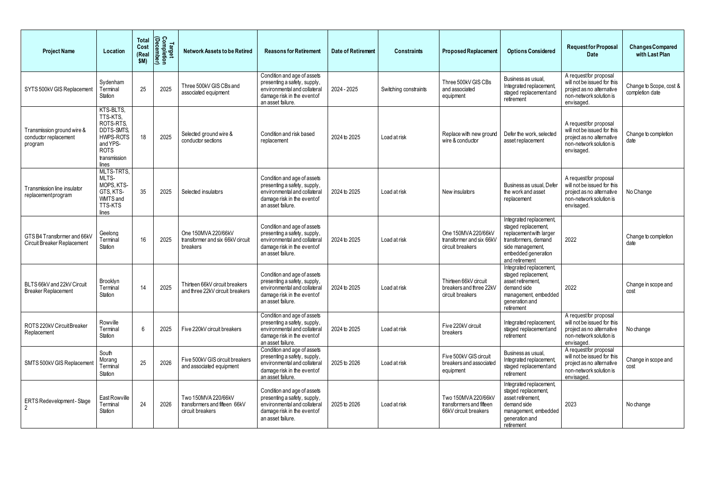| <b>Project Name</b>                                               | Location                                                                                                                | <b>Total</b><br>Cost<br>(Rea<br>\$M) | Target<br>Completion<br>(December) | <b>Network Assets to be Retired</b>                                      | <b>Reasons for Retirement</b>                                                                                                                   | <b>Date of Retirement</b> | <b>Constraints</b>    | <b>Proposed Replacement</b>                                              | <b>Options Considered</b>                                                                                                                                      | <b>Requestfor Proposal</b><br><b>Date</b>                                                                                   | <b>Changes Compared</b><br>with Last Plan  |
|-------------------------------------------------------------------|-------------------------------------------------------------------------------------------------------------------------|--------------------------------------|------------------------------------|--------------------------------------------------------------------------|-------------------------------------------------------------------------------------------------------------------------------------------------|---------------------------|-----------------------|--------------------------------------------------------------------------|----------------------------------------------------------------------------------------------------------------------------------------------------------------|-----------------------------------------------------------------------------------------------------------------------------|--------------------------------------------|
| SYTS 500kV GIS Replacement                                        | Sydenham<br>Terminal<br>Station                                                                                         | 25                                   | 2025                               | Three 500kV GIS CBs and<br>associated equipment                          | Condition and age of assets<br>presenting a safety, supply,<br>environmental and collateral<br>damage risk in the event of<br>an asset failure. | 2024 - 2025               | Switching constraints | Three 500kV GIS CBs<br>and associated<br>equipment                       | Business as usual,<br>Integrated replacement,<br>staged replacement and<br>retirement                                                                          | A requestfor proposal<br>will not be issued for this<br>project as no alternative<br>non-network solution is<br>envisaged.  | Change to Scope, cost &<br>completion date |
| Transmission ground wire &<br>conductor replacement<br>program    | KTS-BLTS,<br>TTS-KTS,<br>ROTS-RTS<br><b>DDTS-SMTS,</b><br>HWPS-ROTS<br>and YPS-<br><b>ROTS</b><br>transmission<br>lines | 18                                   | 2025                               | Selected ground wire &<br>conductor sections                             | Condition and risk based<br>replacement                                                                                                         | 2024 to 2025              | Load at risk          | Replace with new ground<br>wire & conductor                              | Defer the work, selected<br>asset replacement                                                                                                                  | A requestfor proposal<br>will not be issued for this<br>project as no alternative<br>non-network solution is<br>envisaged.  | Change to completion<br>date               |
| Transmission line insulator<br>replacementprogram                 | MLTS-TRTS,<br>MLTS-<br>MOPS, KTS-<br>GTS, KTS-<br><b>WMTS</b> and<br>TTS-KTS<br>lines                                   | 35                                   | 2025                               | Selected insulators                                                      | Condition and age of assets<br>presenting a safety, supply,<br>environmental and collateral<br>damage risk in the eventof<br>an asset failure.  | 2024 to 2025              | Load at risk          | New insulators                                                           | Business as usual, Defer<br>the work and asset<br>replacement                                                                                                  | A requestfor proposal<br>will not be issued for this<br>project as no alternative<br>non-network solution is<br>envisaged.  | No Change                                  |
| GTS B4 Transformer and 66kV<br><b>Circuit Breaker Replacement</b> | Geelong<br>Terminal<br>Station                                                                                          | 16                                   | 2025                               | One 150MVA 220/66kV<br>transformer and six 66kV circuit<br>breakers      | Condition and age of assets<br>presenting a safety, supply,<br>environmental and collateral<br>damage risk in the eventof<br>an asset failure.  | 2024 to 2025              | Load at risk          | One 150MVA 220/66kV<br>transformer and six 66kV<br>circuit breakers      | Integrated replacement,<br>staged replacement,<br>replacement with larger<br>transformers, demand<br>side management,<br>embedded generation<br>and retirement | 2022                                                                                                                        | Change to completion<br>date               |
| BLTS 66kV and 22kV Circuit<br><b>Breaker Replacement</b>          | Brooklyn<br>Terminal<br>Station                                                                                         | 14                                   | 2025                               | Thirteen 66kV circuit breakers<br>and three 22kV circuit breakers        | Condition and age of assets<br>presenting a safety, supply,<br>environmental and collateral<br>damage risk in the eventof<br>an asset failure.  | 2024 to 2025              | Load at risk          | Thirteen 66kV circuit<br>breakers and three 22kV<br>circuit breakers     | Integrated replacement,<br>staged replacement,<br>asset retirement.<br>demand side<br>management, embedded<br>generation and<br>retirement                     | 2022                                                                                                                        | Change in scope and<br>cost                |
| ROTS 220kV Circuit Breaker<br>Replacement                         | Rowville<br>Terminal<br>Station                                                                                         | 6                                    | 2025                               | Five 220kV circuit breakers                                              | Condition and age of assets<br>presenting a safety, supply,<br>environmental and collateral<br>damage risk in the event of<br>an asset failure. | 2024 to 2025              | Load at risk          | Five 220kV circuit<br>breakers                                           | Integrated replacement,<br>staged replacement and<br>retirement                                                                                                | A request for proposal<br>will not be issued for this<br>project as no alternative<br>non-network solution is<br>envisaged. | No change                                  |
| SMTS 500kV GIS Replacement                                        | South<br>Morang<br>Terminal<br>Station                                                                                  | 25                                   | 2026                               | Five 500kV GIS circuit breakers<br>and associated equipment              | Condition and age of assets<br>presenting a safety, supply,<br>environmental and collateral<br>damage risk in the event of<br>an asset failure. | 2025 to 2026              | Load at risk          | Five 500kV GIS circuit<br>breakers and associated<br>equipment           | Business as usual.<br>Integrated replacement,<br>staged replacement and<br>retirement                                                                          | A requestfor proposal<br>will not be issued for this<br>project as no alternative<br>non-network solution is<br>envisaged.  | Change in scope and<br>cost                |
| ERTS Redevelopment - Stage<br>$\overline{2}$                      | East Rowville<br>Terminal<br>Station                                                                                    | 24                                   | 2026                               | Two 150MVA 220/66kV<br>transformers and fifteen 66kV<br>circuit breakers | Condition and age of assets<br>presenting a safety, supply,<br>environmental and collateral<br>damage risk in the eventof<br>an asset failure.  | 2025 to 2026              | Load at risk          | Two 150MVA 220/66kV<br>transformers and fifteen<br>66kV circuit breakers | Integrated replacement,<br>staged replacement,<br>asset retirement,<br>demand side<br>management, embedded<br>generation and<br>retirement                     | 2023                                                                                                                        | No change                                  |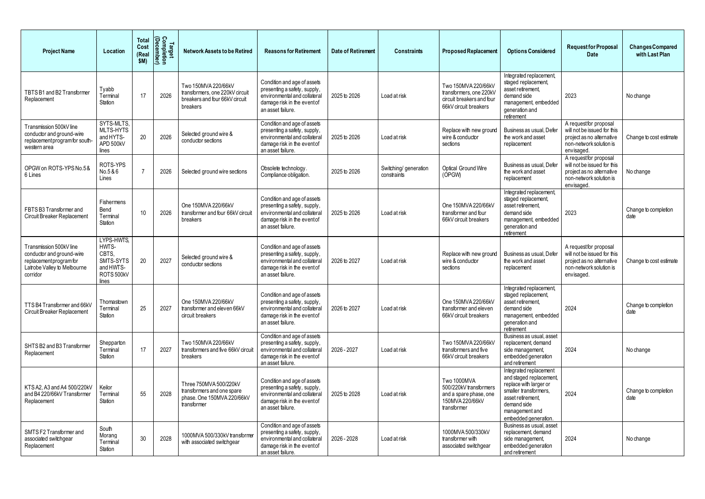| <b>Project Name</b>                                                                                                        | Location                                                                      | Total<br>Cost<br>(Rea<br>\$M) | Target<br>Completion<br>(December <sup>)</sup> | <b>Network Assets to be Retired</b>                                                                  | <b>Reasons for Retirement</b>                                                                                                                   | <b>Date of Retirement</b> | <b>Constraints</b>                   | <b>Proposed Replacement</b>                                                                          | <b>Options Considered</b>                                                                                                                                                          | <b>Requestfor Proposal</b><br><b>Date</b>                                                                                  | <b>Changes Compared</b><br>with Last Plan |
|----------------------------------------------------------------------------------------------------------------------------|-------------------------------------------------------------------------------|-------------------------------|------------------------------------------------|------------------------------------------------------------------------------------------------------|-------------------------------------------------------------------------------------------------------------------------------------------------|---------------------------|--------------------------------------|------------------------------------------------------------------------------------------------------|------------------------------------------------------------------------------------------------------------------------------------------------------------------------------------|----------------------------------------------------------------------------------------------------------------------------|-------------------------------------------|
| TBTS B1 and B2 Transformer<br>Replacement                                                                                  | Tyabb<br>Terminal<br>Station                                                  | 17                            | 2026                                           | Two 150MVA 220/66kV<br>transformers, one 220kV circuit<br>breakers and four 66kV circuit<br>breakers | Condition and age of assets<br>presenting a safety, supply,<br>environmental and collateral<br>damage risk in the event of<br>an asset failure. | 2025 to 2026              | Load at risk                         | Two 150MVA 220/66kV<br>transformers, one 220kV<br>circuit breakers and four<br>66kV circuit breakers | Integrated replacement,<br>staged replacement,<br>asset retirement,<br>demand side<br>management, embedded<br>generation and<br>retirement                                         | 2023                                                                                                                       | No change                                 |
| Transmission 500kV line<br>conductor and ground-wire<br>replacement program for south-<br>western area                     | SYTS-MLTS,<br>MLTS-HYTS<br>and HYTS-<br>APD 500kV<br>lines                    | 20                            | 2026                                           | Selected ground wire &<br>conductor sections                                                         | Condition and age of assets<br>presenting a safety, supply,<br>environmental and collateral<br>damage risk in the event of<br>an asset failure. | 2025 to 2026              | Load at risk                         | Replace with new ground<br>wire & conductor<br>sections                                              | Business as usual, Defer<br>the work and asset<br>replacement                                                                                                                      | A requestfor proposal<br>will not be issued for this<br>project as no alternative<br>non-network solution is<br>envisaged. | Change to cost estimate                   |
| OPGW on ROTS-YPS No.5&<br>6 Lines                                                                                          | ROTS-YPS<br>No.5 & 6<br>Lines                                                 |                               | 2026                                           | Selected ground wire sections                                                                        | Obsolete technology.<br>Compliance obligation.                                                                                                  | 2025 to 2026              | Switching/ generation<br>constraints | Optical Ground Wire<br>(OPGW)                                                                        | Business as usual, Defer<br>the work and asset<br>replacement                                                                                                                      | A requestfor proposal<br>will not be issued for this<br>project as no alternative<br>non-network solution is<br>envisaged. | No change                                 |
| FBTS B3 Transformer and<br>Circuit Breaker Replacement                                                                     | Fishermens<br>Bend<br>Terminal<br>Station                                     | 10                            | 2026                                           | One 150MVA 220/66kV<br>transformer and four 66kV circuit<br>breakers                                 | Condition and age of assets<br>presenting a safety, supply,<br>environmental and collateral<br>damage risk in the eventof<br>an asset failure.  | 2025 to 2026              | Load at risk                         | One 150MVA 220/66kV<br>transformer and four<br>66kV circuit breakers                                 | Integrated replacement,<br>staged replacement,<br>asset retirement,<br>demand side<br>management, embedded<br>generation and<br>retirement                                         | 2023                                                                                                                       | Change to completion<br>date              |
| Transmission 500kV line<br>conductor and ground-wire<br>replacement program for<br>Latrobe Valley to Melbourne<br>corridor | LYPS-HWTS,<br>HWTS-<br>CBTS,<br>SMTS-SYTS<br>and HWTS-<br>ROTS 500kV<br>lines | 20                            | 2027                                           | Selected ground wire &<br>conductor sections                                                         | Condition and age of assets<br>presenting a safety, supply,<br>environmental and collateral<br>damage risk in the event of<br>an asset failure. | 2026 to 2027              | Load at risk                         | Replace with new ground<br>wire & conductor<br>sections                                              | Business as usual, Defer<br>the work and asset<br>replacement                                                                                                                      | A requestfor proposal<br>will not be issued for this<br>project as no alternative<br>non-network solution is<br>envisaged. | Change to cost estimate                   |
| TTS B4 Transformer and 66kV<br>Circuit Breaker Replacement                                                                 | Thomastown<br>Terminal<br>Station                                             | 25                            | 2027                                           | One 150MVA 220/66kV<br>transformer and eleven 66kV<br>circuit breakers                               | Condition and age of assets<br>presenting a safety, supply,<br>environmental and collateral<br>damage risk in the event of<br>an asset failure. | 2026 to 2027              | Load at risk                         | One 150MVA 220/66kV<br>transformer and eleven<br>66kV circuit breakers                               | Integrated replacement,<br>staged replacement,<br>asset retirement,<br>demand side<br>management, embedded<br>generation and<br>retirement                                         | 2024                                                                                                                       | Change to completion<br>date              |
| SHTS B2 and B3 Transformer<br>Replacement                                                                                  | Shepparton<br>Terminal<br>Station                                             | 17                            | 2027                                           | Two 150MVA 220/66kV<br>transformers and five 66kV circuit<br>breakers                                | Condition and age of assets<br>presenting a safety, supply,<br>environmental and collateral<br>damage risk in the event of<br>an asset failure. | 2026 - 2027               | Load at risk                         | Two 150MVA 220/66kV<br>transformers and five<br>66kV circuit breakers                                | Business as usual, asset<br>replacement, demand<br>side management,<br>embedded generation<br>and retirement                                                                       | 2024                                                                                                                       | No change                                 |
| KTS A2, A3 and A4 500/220kV<br>and B4 220/66kV Transformer<br>Replacement                                                  | Keilor<br>Terminal<br>Station                                                 | 55                            | 2028                                           | Three 750MVA 500/220kV<br>transformers and one spare<br>phase. One 150MVA 220/66kV<br>transformer    | Condition and age of assets<br>presenting a safety, supply,<br>environmental and collateral<br>damage risk in the eventof<br>an asset failure.  | 2025 to 2028              | Load at risk                         | Two 1000MVA<br>500/220kV transformers<br>and a spare phase, one<br>150MVA 220/66kV<br>transformer    | Integrated replacement<br>and staged replacement,<br>replace with larger or<br>smaller transformers,<br>asset retirement,<br>demand side<br>management and<br>embedded generation. | 2024                                                                                                                       | Change to completion<br>date              |
| SMTSF2 Transformer and<br>associated switchgear<br>Replacement                                                             | South<br>Morang<br>Terminal<br>Station                                        | 30                            | 2028                                           | 1000MVA 500/330kV transformer<br>with associated switchgear                                          | Condition and age of assets<br>presenting a safety, supply,<br>environmental and collateral<br>damage risk in the event of<br>an asset failure. | 2026 - 2028               | Load at risk                         | 1000MVA 500/330kV<br>transformer with<br>associated switchgear                                       | Business as usual, asset<br>replacement, demand<br>side management,<br>embedded generation<br>and retirement                                                                       | 2024                                                                                                                       | No change                                 |